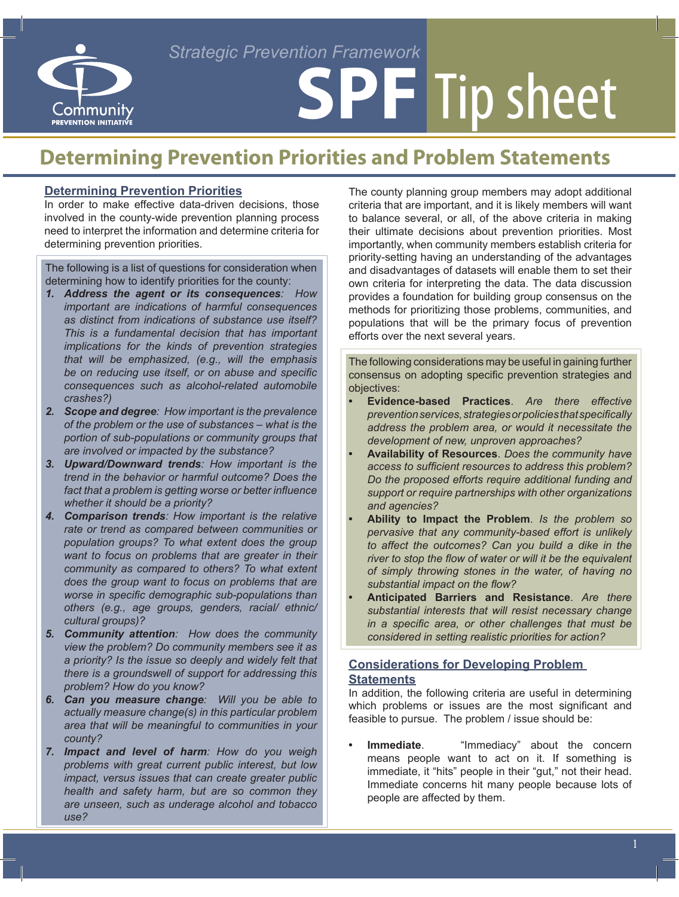#### *Strategic Prevention Framework*



# **SPF** Tip sheet

### **Determining Prevention Priorities and Problem Statements**

#### **Determining Prevention Priorities**

In order to make effective data-driven decisions, those involved in the county-wide prevention planning process need to interpret the information and determine criteria for determining prevention priorities.

The following is a list of questions for consideration when determining how to identify priorities for the county:

- *1. Address the agent or its consequences: How important are indications of harmful consequences as distinct from indications of substance use itself? This is a fundamental decision that has important implications for the kinds of prevention strategies that will be emphasized, (e.g., will the emphasis be on reducing use itself, or on abuse and specific consequences such as alcohol-related automobile crashes?)*
- *2. Scope and degree: How important is the prevalence of the problem or the use of substances – what is the portion of sub-populations or community groups that are involved or impacted by the substance?*
- *3. Upward/Downward trends: How important is the trend in the behavior or harmful outcome? Does the fact that a problem is getting worse or better influence whether it should be a priority?*
- *4. Comparison trends: How important is the relative rate or trend as compared between communities or population groups? To what extent does the group want to focus on problems that are greater in their community as compared to others? To what extent does the group want to focus on problems that are worse in specific demographic sub-populations than others (e.g., age groups, genders, racial/ ethnic/ cultural groups)?*
- *5. Community attention: How does the community view the problem? Do community members see it as a priority? Is the issue so deeply and widely felt that there is a groundswell of support for addressing this problem? How do you know?*
- *6. Can you measure change: Will you be able to actually measure change(s) in this particular problem area that will be meaningful to communities in your county?*
- *7. Impact and level of harm: How do you weigh problems with great current public interest, but low impact, versus issues that can create greater public health and safety harm, but are so common they are unseen, such as underage alcohol and tobacco use?*

The county planning group members may adopt additional criteria that are important, and it is likely members will want to balance several, or all, of the above criteria in making their ultimate decisions about prevention priorities. Most importantly, when community members establish criteria for priority-setting having an understanding of the advantages and disadvantages of datasets will enable them to set their own criteria for interpreting the data. The data discussion provides a foundation for building group consensus on the methods for prioritizing those problems, communities, and populations that will be the primary focus of prevention efforts over the next several years.

The following considerations may be useful in gaining further consensus on adopting specific prevention strategies and objectives:

- **Evidence-based Practices**. Are there effective *prevention services, strategies or policies that specifically address the problem area, or would it necessitate the development of new, unproven approaches?*
- **• Availability of Resources**. *Does the community have access to sufficient resources to address this problem? Do the proposed efforts require additional funding and support or require partnerships with other organizations and agencies?*
- **• Ability to Impact the Problem**. *Is the problem so pervasive that any community-based effort is unlikely to affect the outcomes? Can you build a dike in the river to stop the flow of water or will it be the equivalent of simply throwing stones in the water, of having no substantial impact on the flow?*
- **Anticipated Barriers and Resistance.** Are there *substantial interests that will resist necessary change in a specific area, or other challenges that must be considered in setting realistic priorities for action?*

#### **Considerations for Developing Problem Statements**

In addition, the following criteria are useful in determining which problems or issues are the most significant and feasible to pursue. The problem / issue should be:

**Immediate.** "Immediacy" about the concern means people want to act on it. If something is immediate, it "hits" people in their "gut," not their head. Immediate concerns hit many people because lots of people are affected by them.

1